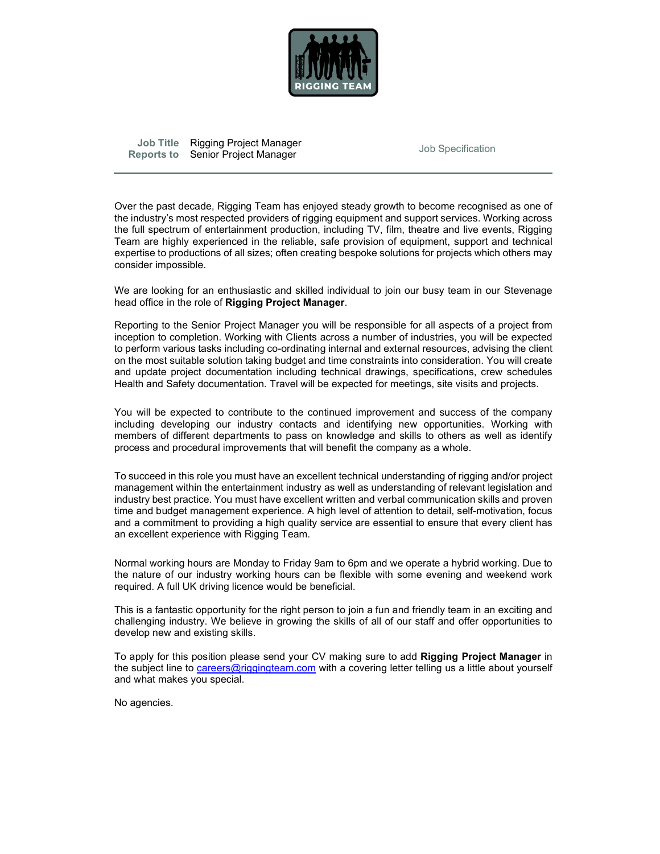

Job Title Rigging Project Manager and Job Specification Reports to Senior Project Manager

 Over the past decade, Rigging Team has enjoyed steady growth to become recognised as one of the industry's most respected providers of rigging equipment and support services. Working across the full spectrum of entertainment production, including TV, film, theatre and live events, Rigging Team are highly experienced in the reliable, safe provision of equipment, support and technical expertise to productions of all sizes; often creating bespoke solutions for projects which others may consider impossible.

We are looking for an enthusiastic and skilled individual to join our busy team in our Stevenage head office in the role of **Rigging Project Manager**.<br>Reporting to the Senior Project Manager you will be responsible for all aspects of a project from

inception to completion. Working with Clients across a number of industries, you will be expected to perform various tasks including co-ordinating internal and external resources, advising the client on the most suitable solution taking budget and time constraints into consideration. You will create and update project documentation including technical drawings, specifications, crew schedules Health and Safety documentation. Travel will be expected for meetings, site visits and projects.

You will be expected to contribute to the continued improvement and success of the company including developing our industry contacts and identifying new opportunities. Working with members of different departments to pass on knowledge and skills to others as well as identify process and procedural improvements that will benefit the company as a whole.

To succeed in this role you must have an excellent technical understanding of rigging and/or project management within the entertainment industry as well as understanding of relevant legislation and industry best practice. You must have excellent written and verbal communication skills and proven time and budget management experience. A high level of attention to detail, self-motivation, focus and a commitment to providing a high quality service are essential to ensure that every client has an excellent experience with Rigging Team.

Normal working hours are Monday to Friday 9am to 6pm and we operate a hybrid working. Due to the nature of our industry working hours can be flexible with some evening and weekend work required. A full UK driving licence would be beneficial.

This is a fantastic opportunity for the right person to join a fun and friendly team in an exciting and challenging industry. We believe in growing the skills of all of our staff and offer opportunities to develop new and existing skills.

To apply for this position please send your CV making sure to add Rigging Project Manager in the subject line to careers@riggingteam.com with a covering letter telling us a little about yourself and what makes you special.

No agencies.